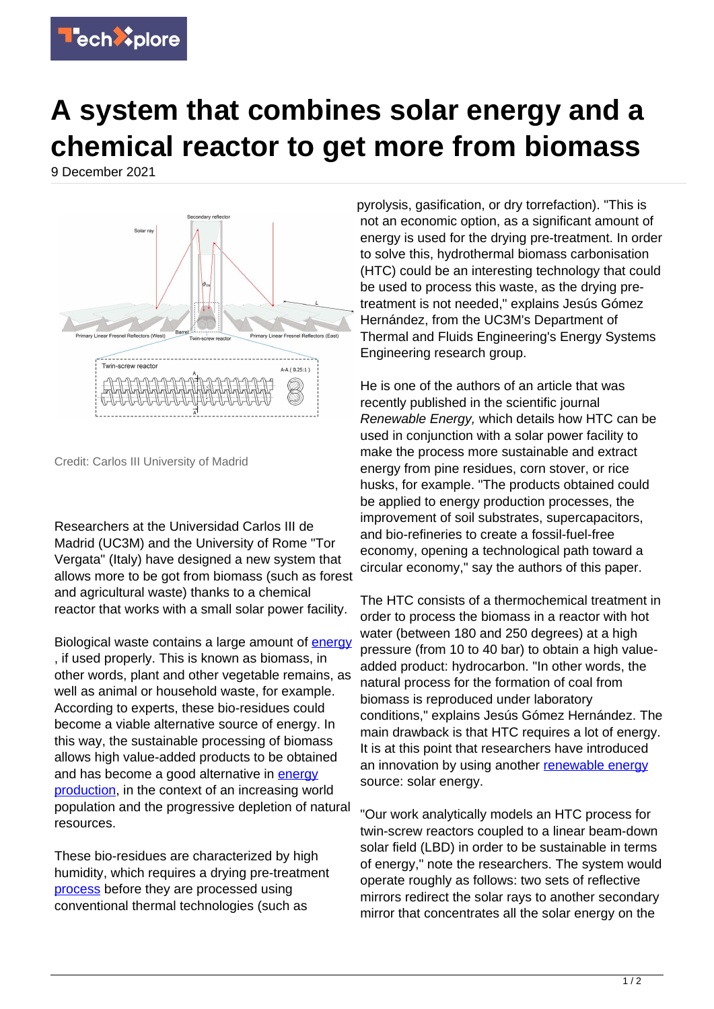

## **A system that combines solar energy and a chemical reactor to get more from biomass**

9 December 2021



Credit: Carlos III University of Madrid

Researchers at the Universidad Carlos III de Madrid (UC3M) and the University of Rome "Tor Vergata" (Italy) have designed a new system that allows more to be got from biomass (such as forest and agricultural waste) thanks to a chemical reactor that works with a small solar power facility.

Biological waste contains a large amount of **[energy](https://techxplore.com/tags/energy/)** , if used properly. This is known as biomass, in other words, plant and other vegetable remains, as well as animal or household waste, for example. According to experts, these bio-residues could become a viable alternative source of energy. In this way, the sustainable processing of biomass allows high value-added products to be obtained and has become a good alternative in [energy](https://techxplore.com/tags/energy+production/) [production,](https://techxplore.com/tags/energy+production/) in the context of an increasing world population and the progressive depletion of natural resources.

These bio-residues are characterized by high humidity, which requires a drying pre-treatment [process](https://techxplore.com/tags/process/) before they are processed using conventional thermal technologies (such as

pyrolysis, gasification, or dry torrefaction). "This is not an economic option, as a significant amount of energy is used for the drying pre-treatment. In order to solve this, hydrothermal biomass carbonisation (HTC) could be an interesting technology that could be used to process this waste, as the drying pretreatment is not needed," explains Jesús Gómez Hernández, from the UC3M's Department of Thermal and Fluids Engineering's Energy Systems Engineering research group.

He is one of the authors of an article that was recently published in the scientific journal Renewable Energy, which details how HTC can be used in conjunction with a solar power facility to make the process more sustainable and extract energy from pine residues, corn stover, or rice husks, for example. "The products obtained could be applied to energy production processes, the improvement of soil substrates, supercapacitors, and bio-refineries to create a fossil-fuel-free economy, opening a technological path toward a circular economy," say the authors of this paper.

The HTC consists of a thermochemical treatment in order to process the biomass in a reactor with hot water (between 180 and 250 degrees) at a high pressure (from 10 to 40 bar) to obtain a high valueadded product: hydrocarbon. "In other words, the natural process for the formation of coal from biomass is reproduced under laboratory conditions," explains Jesús Gómez Hernández. The main drawback is that HTC requires a lot of energy. It is at this point that researchers have introduced an innovation by using another [renewable energy](https://techxplore.com/tags/renewable+energy/) source: solar energy.

"Our work analytically models an HTC process for twin-screw reactors coupled to a linear beam-down solar field (LBD) in order to be sustainable in terms of energy," note the researchers. The system would operate roughly as follows: two sets of reflective mirrors redirect the solar rays to another secondary mirror that concentrates all the solar energy on the